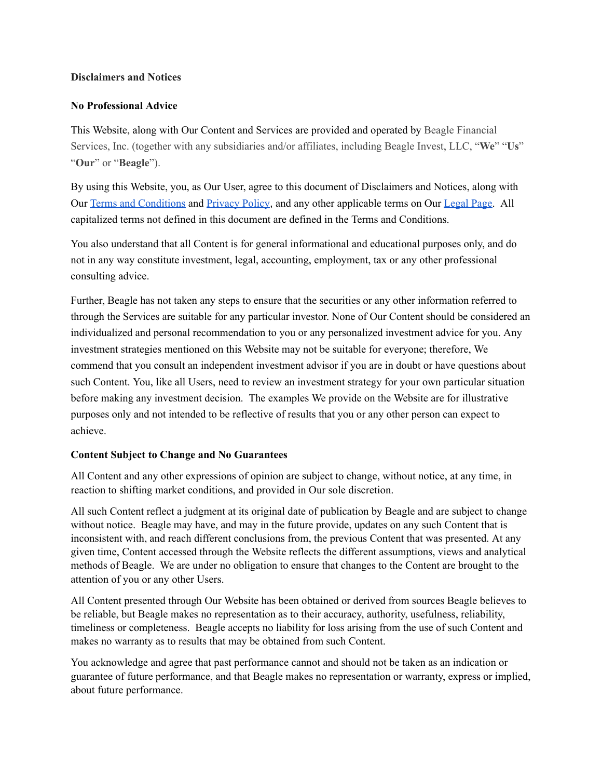### **Disclaimers and Notices**

## **No Professional Advice**

This Website, along with Our Content and Services are provided and operated by Beagle Financial Services, Inc. (together with any subsidiaries and/or affiliates, including Beagle Invest, LLC, "**We**" "**Us**" "**Our**" or "**Beagle**").

By using this Website, you, as Our User, agree to this document of Disclaimers and Notices, along with Our Terms and [Conditions](https://meetbeagle.com/terms) and [Privacy](https://meetbeagle.com/privacy) Policy, and any other applicable terms on Our [Legal](https://meetbeagle.com/legal) Page. All capitalized terms not defined in this document are defined in the Terms and Conditions.

You also understand that all Content is for general informational and educational purposes only, and do not in any way constitute investment, legal, accounting, employment, tax or any other professional consulting advice.

Further, Beagle has not taken any steps to ensure that the securities or any other information referred to through the Services are suitable for any particular investor. None of Our Content should be considered an individualized and personal recommendation to you or any personalized investment advice for you. Any investment strategies mentioned on this Website may not be suitable for everyone; therefore, We commend that you consult an independent investment advisor if you are in doubt or have questions about such Content. You, like all Users, need to review an investment strategy for your own particular situation before making any investment decision. The examples We provide on the Website are for illustrative purposes only and not intended to be reflective of results that you or any other person can expect to achieve.

# **Content Subject to Change and No Guarantees**

All Content and any other expressions of opinion are subject to change, without notice, at any time, in reaction to shifting market conditions, and provided in Our sole discretion.

All such Content reflect a judgment at its original date of publication by Beagle and are subject to change without notice. Beagle may have, and may in the future provide, updates on any such Content that is inconsistent with, and reach different conclusions from, the previous Content that was presented. At any given time, Content accessed through the Website reflects the different assumptions, views and analytical methods of Beagle. We are under no obligation to ensure that changes to the Content are brought to the attention of you or any other Users.

All Content presented through Our Website has been obtained or derived from sources Beagle believes to be reliable, but Beagle makes no representation as to their accuracy, authority, usefulness, reliability, timeliness or completeness. Beagle accepts no liability for loss arising from the use of such Content and makes no warranty as to results that may be obtained from such Content.

You acknowledge and agree that past performance cannot and should not be taken as an indication or guarantee of future performance, and that Beagle makes no representation or warranty, express or implied, about future performance.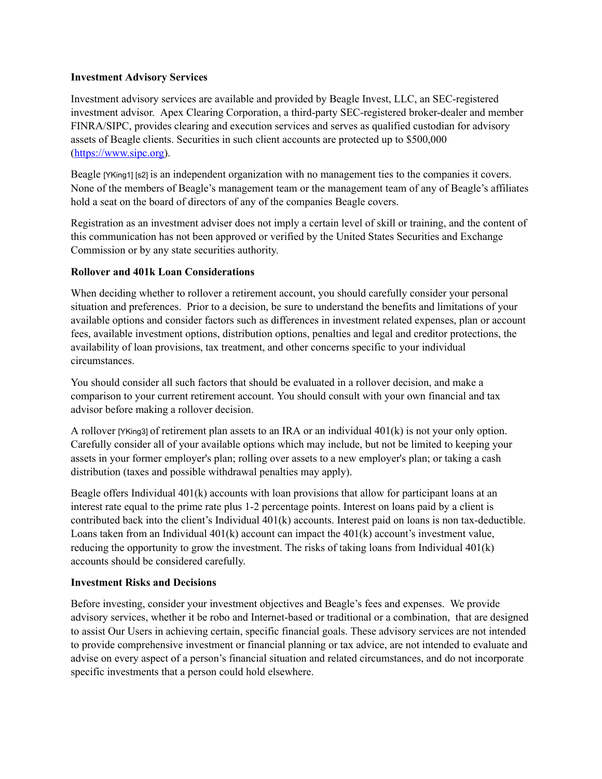### **Investment Advisory Services**

Investment advisory services are available and provided by Beagle Invest, LLC, an SEC-registered investment advisor. Apex Clearing Corporation, a third-party SEC-registered broker-dealer and member FINRA/SIPC, provides clearing and execution services and serves as qualified custodian for advisory assets of Beagle clients. Securities in such client accounts are protected up to \$500,000 ([https://www.sipc.org\)](https://www.sipc.org/).

Beagle [YKing1] [s2] is an independent organization with no management ties to the companies it covers. None of the members of Beagle's management team or the management team of any of Beagle's affiliates hold a seat on the board of directors of any of the companies Beagle covers.

Registration as an investment adviser does not imply a certain level of skill or training, and the content of this communication has not been approved or verified by the United States Securities and Exchange Commission or by any state securities authority.

#### **Rollover and 401k Loan Considerations**

When deciding whether to rollover a retirement account, you should carefully consider your personal situation and preferences. Prior to a decision, be sure to understand the benefits and limitations of your available options and consider factors such as differences in investment related expenses, plan or account fees, available investment options, distribution options, penalties and legal and creditor protections, the availability of loan provisions, tax treatment, and other concerns specific to your individual circumstances.

You should consider all such factors that should be evaluated in a rollover decision, and make a comparison to your current retirement account. You should consult with your own financial and tax advisor before making a rollover decision.

A rollover [YKing3] of retirement plan assets to an IRA or an individual 401(k) is not your only option. Carefully consider all of your available options which may include, but not be limited to keeping your assets in your former employer's plan; rolling over assets to a new employer's plan; or taking a cash distribution (taxes and possible withdrawal penalties may apply).

Beagle offers Individual  $401(k)$  accounts with loan provisions that allow for participant loans at an interest rate equal to the prime rate plus 1-2 percentage points. Interest on loans paid by a client is contributed back into the client's Individual 401(k) accounts. Interest paid on loans is non tax-deductible. Loans taken from an Individual  $401(k)$  account can impact the  $401(k)$  account's investment value, reducing the opportunity to grow the investment. The risks of taking loans from Individual 401(k) accounts should be considered carefully.

### **Investment Risks and Decisions**

Before investing, consider your investment objectives and Beagle's fees and expenses. We provide advisory services, whether it be robo and Internet-based or traditional or a combination, that are designed to assist Our Users in achieving certain, specific financial goals. These advisory services are not intended to provide comprehensive investment or financial planning or tax advice, are not intended to evaluate and advise on every aspect of a person's financial situation and related circumstances, and do not incorporate specific investments that a person could hold elsewhere.